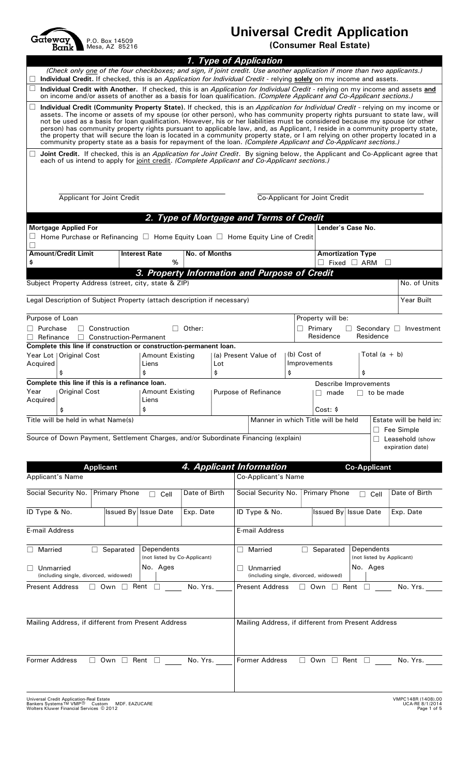P.O. Box 14509 Mesa, AZ 85216

## **Universal Credit Application**

**(Consumer Real Estate)**

| (Check only one of the four checkboxes; and sign, if joint credit. Use another application if more than two applicants.)<br>Individual Credit. If checked, this is an Application for Individual Credit - relying solely on my income and assets.<br>Individual Credit with Another. If checked, this is an <i>Application for Individual Credit</i> - relying on my income and assets and<br>on income and/or assets of another as a basis for loan qualification. (Complete Applicant and Co-Applicant sections.)<br>Individual Credit (Community Property State). If checked, this is an Application for Individual Credit - relying on my income or<br>assets. The income or assets of my spouse (or other person), who has community property rights pursuant to state law, will<br>not be used as a basis for loan qualification. However, his or her liabilities must be considered because my spouse (or other<br>person) has community property rights pursuant to applicable law, and, as Applicant, I reside in a community property state,<br>the property that will secure the loan is located in a community property state, or I am relying on other property located in a<br>community property state as a basis for repayment of the loan. (Complete Applicant and Co-Applicant sections.)<br>Joint Credit. If checked, this is an <i>Application for Joint Credit</i> . By signing below, the Applicant and Co-Applicant agree that<br>each of us intend to apply for joint credit. (Complete Applicant and Co-Applicant sections.)<br><b>Applicant for Joint Credit</b><br>Co-Applicant for Joint Credit<br>2. Type of Mortgage and Terms of Credit<br><b>Mortgage Applied For</b><br>Lender's Case No.<br>Home Purchase or Refinancing $\Box$ Home Equity Loan $\Box$ Home Equity Line of Credit<br><b>Amount/Credit Limit</b><br>No. of Months<br><b>Amortization Type</b><br><b>Interest Rate</b><br>$\%$<br>\$<br>$\Box$ Fixed $\Box$ ARM<br>3. Property Information and Purpose of Credit<br>Subject Property Address (street, city, state & ZIP)<br>No. of Units<br>Legal Description of Subject Property (attach description if necessary)<br>Year Built<br>Purpose of Loan<br>Property will be:<br>Construction<br>Other:<br>$\Box$ Primary<br>Secondary □ Investment<br>П.<br>$\Box$<br>$\perp$<br>Residence<br>Residence<br>$\Box$ Construction-Permanent<br>$\Box$ Refinance<br>Complete this line if construction or construction-permanent loan.<br>(b) Cost of<br>Total $(a + b)$<br><b>Amount Existing</b><br>(a) Present Value of<br>Improvements<br>Liens<br>Lot<br>\$<br>\$<br>\$<br>\$<br>\$<br>Complete this line if this is a refinance loan.<br>Describe Improvements<br><b>Original Cost</b><br><b>Amount Existing</b><br>Purpose of Refinance<br>$\Box$ to be made<br>∣∣ made<br>Liens<br>\$<br>\$<br>Cost: \$<br>Title will be held in what Name(s)<br>Estate will be held in:<br>Manner in which Title will be held<br>Fee Simple<br>Source of Down Payment, Settlement Charges, and/or Subordinate Financing (explain)<br>Leasehold (show<br>expiration date)<br>4. Applicant Information<br><b>Applicant</b><br><b>Co-Applicant</b><br><b>Co-Applicant's Name</b><br><b>Primary Phone</b><br>Date of Birth<br>Date of Birth<br>Social Security No.<br><b>Primary Phone</b><br>Cell<br>Cell<br>ID Type & No.<br><b>Issued By Issue Date</b><br>Exp. Date<br><b>Issued By Issue Date</b><br>Exp. Date<br>E-mail Address<br>Dependents<br>Dependents<br><b>Married</b><br>Separated<br>Married<br>Separated<br>$\Box$<br>(not listed by Applicant)<br>(not listed by Co-Applicant)<br>No. Ages<br>No. Ages<br>Unmarried<br>Unmarried<br>(including single, divorced, widowed)<br>(including single, divorced, widowed)<br>$\Box$ Own $\Box$ Rent $\Box$<br>$\Box$ Own $\Box$ Rent $\Box$<br>No. Yrs.<br>No. Yrs.<br><b>Present Address</b><br>Mailing Address, if different from Present Address<br>Mailing Address, if different from Present Address<br><b>Former Address</b><br>$\Box$ Own $\Box$ Rent $\Box$<br>$\Box$ Own $\Box$ Rent $\Box$ No. Yrs.<br>No. Yrs. |                                      |  |  |  | 1. Type of Application |  |  |  |  |  |
|--------------------------------------------------------------------------------------------------------------------------------------------------------------------------------------------------------------------------------------------------------------------------------------------------------------------------------------------------------------------------------------------------------------------------------------------------------------------------------------------------------------------------------------------------------------------------------------------------------------------------------------------------------------------------------------------------------------------------------------------------------------------------------------------------------------------------------------------------------------------------------------------------------------------------------------------------------------------------------------------------------------------------------------------------------------------------------------------------------------------------------------------------------------------------------------------------------------------------------------------------------------------------------------------------------------------------------------------------------------------------------------------------------------------------------------------------------------------------------------------------------------------------------------------------------------------------------------------------------------------------------------------------------------------------------------------------------------------------------------------------------------------------------------------------------------------------------------------------------------------------------------------------------------------------------------------------------------------------------------------------------------------------------------------------------------------------------------------------------------------------------------------------------------------------------------------------------------------------------------------------------------------------------------------------------------------------------------------------------------------------------------------------------------------------------------------------------------------------------------------------------------------------------------------------------------------------------------------------------------------------------------------------------------------------------------------------------------------------------------------------------------------------------------------------------------------------------------------------------------------------------------------------------------------------------------------------------------------------------------------------------------------------------------------------------------------------------------------------------------------------------------------------------------------------------------------------------------------------------------------------------------------------------------------------------------------------------------------------------------------------------------------------------------------------------------------------------------------------------------------------------------------------------------------------------------------------------------------------------------------------------------------------------------------------------------------------------------------------------------------------------------------------------------------------------------------------------------------------------------------------------------------------------------------------------------------------------------------------------------------------------------------------------------------------------------------------------------------------------------------|--------------------------------------|--|--|--|------------------------|--|--|--|--|--|
|                                                                                                                                                                                                                                                                                                                                                                                                                                                                                                                                                                                                                                                                                                                                                                                                                                                                                                                                                                                                                                                                                                                                                                                                                                                                                                                                                                                                                                                                                                                                                                                                                                                                                                                                                                                                                                                                                                                                                                                                                                                                                                                                                                                                                                                                                                                                                                                                                                                                                                                                                                                                                                                                                                                                                                                                                                                                                                                                                                                                                                                                                                                                                                                                                                                                                                                                                                                                                                                                                                                                                                                                                                                                                                                                                                                                                                                                                                                                                                                                                                                                                                                    |                                      |  |  |  |                        |  |  |  |  |  |
|                                                                                                                                                                                                                                                                                                                                                                                                                                                                                                                                                                                                                                                                                                                                                                                                                                                                                                                                                                                                                                                                                                                                                                                                                                                                                                                                                                                                                                                                                                                                                                                                                                                                                                                                                                                                                                                                                                                                                                                                                                                                                                                                                                                                                                                                                                                                                                                                                                                                                                                                                                                                                                                                                                                                                                                                                                                                                                                                                                                                                                                                                                                                                                                                                                                                                                                                                                                                                                                                                                                                                                                                                                                                                                                                                                                                                                                                                                                                                                                                                                                                                                                    |                                      |  |  |  |                        |  |  |  |  |  |
|                                                                                                                                                                                                                                                                                                                                                                                                                                                                                                                                                                                                                                                                                                                                                                                                                                                                                                                                                                                                                                                                                                                                                                                                                                                                                                                                                                                                                                                                                                                                                                                                                                                                                                                                                                                                                                                                                                                                                                                                                                                                                                                                                                                                                                                                                                                                                                                                                                                                                                                                                                                                                                                                                                                                                                                                                                                                                                                                                                                                                                                                                                                                                                                                                                                                                                                                                                                                                                                                                                                                                                                                                                                                                                                                                                                                                                                                                                                                                                                                                                                                                                                    |                                      |  |  |  |                        |  |  |  |  |  |
|                                                                                                                                                                                                                                                                                                                                                                                                                                                                                                                                                                                                                                                                                                                                                                                                                                                                                                                                                                                                                                                                                                                                                                                                                                                                                                                                                                                                                                                                                                                                                                                                                                                                                                                                                                                                                                                                                                                                                                                                                                                                                                                                                                                                                                                                                                                                                                                                                                                                                                                                                                                                                                                                                                                                                                                                                                                                                                                                                                                                                                                                                                                                                                                                                                                                                                                                                                                                                                                                                                                                                                                                                                                                                                                                                                                                                                                                                                                                                                                                                                                                                                                    |                                      |  |  |  |                        |  |  |  |  |  |
|                                                                                                                                                                                                                                                                                                                                                                                                                                                                                                                                                                                                                                                                                                                                                                                                                                                                                                                                                                                                                                                                                                                                                                                                                                                                                                                                                                                                                                                                                                                                                                                                                                                                                                                                                                                                                                                                                                                                                                                                                                                                                                                                                                                                                                                                                                                                                                                                                                                                                                                                                                                                                                                                                                                                                                                                                                                                                                                                                                                                                                                                                                                                                                                                                                                                                                                                                                                                                                                                                                                                                                                                                                                                                                                                                                                                                                                                                                                                                                                                                                                                                                                    |                                      |  |  |  |                        |  |  |  |  |  |
|                                                                                                                                                                                                                                                                                                                                                                                                                                                                                                                                                                                                                                                                                                                                                                                                                                                                                                                                                                                                                                                                                                                                                                                                                                                                                                                                                                                                                                                                                                                                                                                                                                                                                                                                                                                                                                                                                                                                                                                                                                                                                                                                                                                                                                                                                                                                                                                                                                                                                                                                                                                                                                                                                                                                                                                                                                                                                                                                                                                                                                                                                                                                                                                                                                                                                                                                                                                                                                                                                                                                                                                                                                                                                                                                                                                                                                                                                                                                                                                                                                                                                                                    |                                      |  |  |  |                        |  |  |  |  |  |
|                                                                                                                                                                                                                                                                                                                                                                                                                                                                                                                                                                                                                                                                                                                                                                                                                                                                                                                                                                                                                                                                                                                                                                                                                                                                                                                                                                                                                                                                                                                                                                                                                                                                                                                                                                                                                                                                                                                                                                                                                                                                                                                                                                                                                                                                                                                                                                                                                                                                                                                                                                                                                                                                                                                                                                                                                                                                                                                                                                                                                                                                                                                                                                                                                                                                                                                                                                                                                                                                                                                                                                                                                                                                                                                                                                                                                                                                                                                                                                                                                                                                                                                    |                                      |  |  |  |                        |  |  |  |  |  |
|                                                                                                                                                                                                                                                                                                                                                                                                                                                                                                                                                                                                                                                                                                                                                                                                                                                                                                                                                                                                                                                                                                                                                                                                                                                                                                                                                                                                                                                                                                                                                                                                                                                                                                                                                                                                                                                                                                                                                                                                                                                                                                                                                                                                                                                                                                                                                                                                                                                                                                                                                                                                                                                                                                                                                                                                                                                                                                                                                                                                                                                                                                                                                                                                                                                                                                                                                                                                                                                                                                                                                                                                                                                                                                                                                                                                                                                                                                                                                                                                                                                                                                                    |                                      |  |  |  |                        |  |  |  |  |  |
|                                                                                                                                                                                                                                                                                                                                                                                                                                                                                                                                                                                                                                                                                                                                                                                                                                                                                                                                                                                                                                                                                                                                                                                                                                                                                                                                                                                                                                                                                                                                                                                                                                                                                                                                                                                                                                                                                                                                                                                                                                                                                                                                                                                                                                                                                                                                                                                                                                                                                                                                                                                                                                                                                                                                                                                                                                                                                                                                                                                                                                                                                                                                                                                                                                                                                                                                                                                                                                                                                                                                                                                                                                                                                                                                                                                                                                                                                                                                                                                                                                                                                                                    |                                      |  |  |  |                        |  |  |  |  |  |
|                                                                                                                                                                                                                                                                                                                                                                                                                                                                                                                                                                                                                                                                                                                                                                                                                                                                                                                                                                                                                                                                                                                                                                                                                                                                                                                                                                                                                                                                                                                                                                                                                                                                                                                                                                                                                                                                                                                                                                                                                                                                                                                                                                                                                                                                                                                                                                                                                                                                                                                                                                                                                                                                                                                                                                                                                                                                                                                                                                                                                                                                                                                                                                                                                                                                                                                                                                                                                                                                                                                                                                                                                                                                                                                                                                                                                                                                                                                                                                                                                                                                                                                    |                                      |  |  |  |                        |  |  |  |  |  |
|                                                                                                                                                                                                                                                                                                                                                                                                                                                                                                                                                                                                                                                                                                                                                                                                                                                                                                                                                                                                                                                                                                                                                                                                                                                                                                                                                                                                                                                                                                                                                                                                                                                                                                                                                                                                                                                                                                                                                                                                                                                                                                                                                                                                                                                                                                                                                                                                                                                                                                                                                                                                                                                                                                                                                                                                                                                                                                                                                                                                                                                                                                                                                                                                                                                                                                                                                                                                                                                                                                                                                                                                                                                                                                                                                                                                                                                                                                                                                                                                                                                                                                                    |                                      |  |  |  |                        |  |  |  |  |  |
|                                                                                                                                                                                                                                                                                                                                                                                                                                                                                                                                                                                                                                                                                                                                                                                                                                                                                                                                                                                                                                                                                                                                                                                                                                                                                                                                                                                                                                                                                                                                                                                                                                                                                                                                                                                                                                                                                                                                                                                                                                                                                                                                                                                                                                                                                                                                                                                                                                                                                                                                                                                                                                                                                                                                                                                                                                                                                                                                                                                                                                                                                                                                                                                                                                                                                                                                                                                                                                                                                                                                                                                                                                                                                                                                                                                                                                                                                                                                                                                                                                                                                                                    |                                      |  |  |  |                        |  |  |  |  |  |
|                                                                                                                                                                                                                                                                                                                                                                                                                                                                                                                                                                                                                                                                                                                                                                                                                                                                                                                                                                                                                                                                                                                                                                                                                                                                                                                                                                                                                                                                                                                                                                                                                                                                                                                                                                                                                                                                                                                                                                                                                                                                                                                                                                                                                                                                                                                                                                                                                                                                                                                                                                                                                                                                                                                                                                                                                                                                                                                                                                                                                                                                                                                                                                                                                                                                                                                                                                                                                                                                                                                                                                                                                                                                                                                                                                                                                                                                                                                                                                                                                                                                                                                    | $\Box$ Purchase                      |  |  |  |                        |  |  |  |  |  |
|                                                                                                                                                                                                                                                                                                                                                                                                                                                                                                                                                                                                                                                                                                                                                                                                                                                                                                                                                                                                                                                                                                                                                                                                                                                                                                                                                                                                                                                                                                                                                                                                                                                                                                                                                                                                                                                                                                                                                                                                                                                                                                                                                                                                                                                                                                                                                                                                                                                                                                                                                                                                                                                                                                                                                                                                                                                                                                                                                                                                                                                                                                                                                                                                                                                                                                                                                                                                                                                                                                                                                                                                                                                                                                                                                                                                                                                                                                                                                                                                                                                                                                                    |                                      |  |  |  |                        |  |  |  |  |  |
|                                                                                                                                                                                                                                                                                                                                                                                                                                                                                                                                                                                                                                                                                                                                                                                                                                                                                                                                                                                                                                                                                                                                                                                                                                                                                                                                                                                                                                                                                                                                                                                                                                                                                                                                                                                                                                                                                                                                                                                                                                                                                                                                                                                                                                                                                                                                                                                                                                                                                                                                                                                                                                                                                                                                                                                                                                                                                                                                                                                                                                                                                                                                                                                                                                                                                                                                                                                                                                                                                                                                                                                                                                                                                                                                                                                                                                                                                                                                                                                                                                                                                                                    | Year Lot   Original Cost<br>Acquired |  |  |  |                        |  |  |  |  |  |
|                                                                                                                                                                                                                                                                                                                                                                                                                                                                                                                                                                                                                                                                                                                                                                                                                                                                                                                                                                                                                                                                                                                                                                                                                                                                                                                                                                                                                                                                                                                                                                                                                                                                                                                                                                                                                                                                                                                                                                                                                                                                                                                                                                                                                                                                                                                                                                                                                                                                                                                                                                                                                                                                                                                                                                                                                                                                                                                                                                                                                                                                                                                                                                                                                                                                                                                                                                                                                                                                                                                                                                                                                                                                                                                                                                                                                                                                                                                                                                                                                                                                                                                    |                                      |  |  |  |                        |  |  |  |  |  |
|                                                                                                                                                                                                                                                                                                                                                                                                                                                                                                                                                                                                                                                                                                                                                                                                                                                                                                                                                                                                                                                                                                                                                                                                                                                                                                                                                                                                                                                                                                                                                                                                                                                                                                                                                                                                                                                                                                                                                                                                                                                                                                                                                                                                                                                                                                                                                                                                                                                                                                                                                                                                                                                                                                                                                                                                                                                                                                                                                                                                                                                                                                                                                                                                                                                                                                                                                                                                                                                                                                                                                                                                                                                                                                                                                                                                                                                                                                                                                                                                                                                                                                                    | Year<br>Acquired                     |  |  |  |                        |  |  |  |  |  |
|                                                                                                                                                                                                                                                                                                                                                                                                                                                                                                                                                                                                                                                                                                                                                                                                                                                                                                                                                                                                                                                                                                                                                                                                                                                                                                                                                                                                                                                                                                                                                                                                                                                                                                                                                                                                                                                                                                                                                                                                                                                                                                                                                                                                                                                                                                                                                                                                                                                                                                                                                                                                                                                                                                                                                                                                                                                                                                                                                                                                                                                                                                                                                                                                                                                                                                                                                                                                                                                                                                                                                                                                                                                                                                                                                                                                                                                                                                                                                                                                                                                                                                                    |                                      |  |  |  |                        |  |  |  |  |  |
|                                                                                                                                                                                                                                                                                                                                                                                                                                                                                                                                                                                                                                                                                                                                                                                                                                                                                                                                                                                                                                                                                                                                                                                                                                                                                                                                                                                                                                                                                                                                                                                                                                                                                                                                                                                                                                                                                                                                                                                                                                                                                                                                                                                                                                                                                                                                                                                                                                                                                                                                                                                                                                                                                                                                                                                                                                                                                                                                                                                                                                                                                                                                                                                                                                                                                                                                                                                                                                                                                                                                                                                                                                                                                                                                                                                                                                                                                                                                                                                                                                                                                                                    |                                      |  |  |  |                        |  |  |  |  |  |
|                                                                                                                                                                                                                                                                                                                                                                                                                                                                                                                                                                                                                                                                                                                                                                                                                                                                                                                                                                                                                                                                                                                                                                                                                                                                                                                                                                                                                                                                                                                                                                                                                                                                                                                                                                                                                                                                                                                                                                                                                                                                                                                                                                                                                                                                                                                                                                                                                                                                                                                                                                                                                                                                                                                                                                                                                                                                                                                                                                                                                                                                                                                                                                                                                                                                                                                                                                                                                                                                                                                                                                                                                                                                                                                                                                                                                                                                                                                                                                                                                                                                                                                    |                                      |  |  |  |                        |  |  |  |  |  |
|                                                                                                                                                                                                                                                                                                                                                                                                                                                                                                                                                                                                                                                                                                                                                                                                                                                                                                                                                                                                                                                                                                                                                                                                                                                                                                                                                                                                                                                                                                                                                                                                                                                                                                                                                                                                                                                                                                                                                                                                                                                                                                                                                                                                                                                                                                                                                                                                                                                                                                                                                                                                                                                                                                                                                                                                                                                                                                                                                                                                                                                                                                                                                                                                                                                                                                                                                                                                                                                                                                                                                                                                                                                                                                                                                                                                                                                                                                                                                                                                                                                                                                                    |                                      |  |  |  |                        |  |  |  |  |  |
|                                                                                                                                                                                                                                                                                                                                                                                                                                                                                                                                                                                                                                                                                                                                                                                                                                                                                                                                                                                                                                                                                                                                                                                                                                                                                                                                                                                                                                                                                                                                                                                                                                                                                                                                                                                                                                                                                                                                                                                                                                                                                                                                                                                                                                                                                                                                                                                                                                                                                                                                                                                                                                                                                                                                                                                                                                                                                                                                                                                                                                                                                                                                                                                                                                                                                                                                                                                                                                                                                                                                                                                                                                                                                                                                                                                                                                                                                                                                                                                                                                                                                                                    | <b>Applicant's Name</b>              |  |  |  |                        |  |  |  |  |  |
|                                                                                                                                                                                                                                                                                                                                                                                                                                                                                                                                                                                                                                                                                                                                                                                                                                                                                                                                                                                                                                                                                                                                                                                                                                                                                                                                                                                                                                                                                                                                                                                                                                                                                                                                                                                                                                                                                                                                                                                                                                                                                                                                                                                                                                                                                                                                                                                                                                                                                                                                                                                                                                                                                                                                                                                                                                                                                                                                                                                                                                                                                                                                                                                                                                                                                                                                                                                                                                                                                                                                                                                                                                                                                                                                                                                                                                                                                                                                                                                                                                                                                                                    | Social Security No.                  |  |  |  |                        |  |  |  |  |  |
|                                                                                                                                                                                                                                                                                                                                                                                                                                                                                                                                                                                                                                                                                                                                                                                                                                                                                                                                                                                                                                                                                                                                                                                                                                                                                                                                                                                                                                                                                                                                                                                                                                                                                                                                                                                                                                                                                                                                                                                                                                                                                                                                                                                                                                                                                                                                                                                                                                                                                                                                                                                                                                                                                                                                                                                                                                                                                                                                                                                                                                                                                                                                                                                                                                                                                                                                                                                                                                                                                                                                                                                                                                                                                                                                                                                                                                                                                                                                                                                                                                                                                                                    | ID Type & No.                        |  |  |  |                        |  |  |  |  |  |
|                                                                                                                                                                                                                                                                                                                                                                                                                                                                                                                                                                                                                                                                                                                                                                                                                                                                                                                                                                                                                                                                                                                                                                                                                                                                                                                                                                                                                                                                                                                                                                                                                                                                                                                                                                                                                                                                                                                                                                                                                                                                                                                                                                                                                                                                                                                                                                                                                                                                                                                                                                                                                                                                                                                                                                                                                                                                                                                                                                                                                                                                                                                                                                                                                                                                                                                                                                                                                                                                                                                                                                                                                                                                                                                                                                                                                                                                                                                                                                                                                                                                                                                    | <b>E-mail Address</b>                |  |  |  |                        |  |  |  |  |  |
|                                                                                                                                                                                                                                                                                                                                                                                                                                                                                                                                                                                                                                                                                                                                                                                                                                                                                                                                                                                                                                                                                                                                                                                                                                                                                                                                                                                                                                                                                                                                                                                                                                                                                                                                                                                                                                                                                                                                                                                                                                                                                                                                                                                                                                                                                                                                                                                                                                                                                                                                                                                                                                                                                                                                                                                                                                                                                                                                                                                                                                                                                                                                                                                                                                                                                                                                                                                                                                                                                                                                                                                                                                                                                                                                                                                                                                                                                                                                                                                                                                                                                                                    |                                      |  |  |  |                        |  |  |  |  |  |
|                                                                                                                                                                                                                                                                                                                                                                                                                                                                                                                                                                                                                                                                                                                                                                                                                                                                                                                                                                                                                                                                                                                                                                                                                                                                                                                                                                                                                                                                                                                                                                                                                                                                                                                                                                                                                                                                                                                                                                                                                                                                                                                                                                                                                                                                                                                                                                                                                                                                                                                                                                                                                                                                                                                                                                                                                                                                                                                                                                                                                                                                                                                                                                                                                                                                                                                                                                                                                                                                                                                                                                                                                                                                                                                                                                                                                                                                                                                                                                                                                                                                                                                    |                                      |  |  |  |                        |  |  |  |  |  |
|                                                                                                                                                                                                                                                                                                                                                                                                                                                                                                                                                                                                                                                                                                                                                                                                                                                                                                                                                                                                                                                                                                                                                                                                                                                                                                                                                                                                                                                                                                                                                                                                                                                                                                                                                                                                                                                                                                                                                                                                                                                                                                                                                                                                                                                                                                                                                                                                                                                                                                                                                                                                                                                                                                                                                                                                                                                                                                                                                                                                                                                                                                                                                                                                                                                                                                                                                                                                                                                                                                                                                                                                                                                                                                                                                                                                                                                                                                                                                                                                                                                                                                                    | <b>Present Address</b>               |  |  |  |                        |  |  |  |  |  |
|                                                                                                                                                                                                                                                                                                                                                                                                                                                                                                                                                                                                                                                                                                                                                                                                                                                                                                                                                                                                                                                                                                                                                                                                                                                                                                                                                                                                                                                                                                                                                                                                                                                                                                                                                                                                                                                                                                                                                                                                                                                                                                                                                                                                                                                                                                                                                                                                                                                                                                                                                                                                                                                                                                                                                                                                                                                                                                                                                                                                                                                                                                                                                                                                                                                                                                                                                                                                                                                                                                                                                                                                                                                                                                                                                                                                                                                                                                                                                                                                                                                                                                                    |                                      |  |  |  |                        |  |  |  |  |  |
|                                                                                                                                                                                                                                                                                                                                                                                                                                                                                                                                                                                                                                                                                                                                                                                                                                                                                                                                                                                                                                                                                                                                                                                                                                                                                                                                                                                                                                                                                                                                                                                                                                                                                                                                                                                                                                                                                                                                                                                                                                                                                                                                                                                                                                                                                                                                                                                                                                                                                                                                                                                                                                                                                                                                                                                                                                                                                                                                                                                                                                                                                                                                                                                                                                                                                                                                                                                                                                                                                                                                                                                                                                                                                                                                                                                                                                                                                                                                                                                                                                                                                                                    | <b>Former Address</b>                |  |  |  |                        |  |  |  |  |  |

- Wolters Kluwer Financial Services 2012 Universal Credit Application-Real Estate<br>Bankers Systems™ VMP® Custom MDF. EAZUCARE (ICA-RE 8/1/2014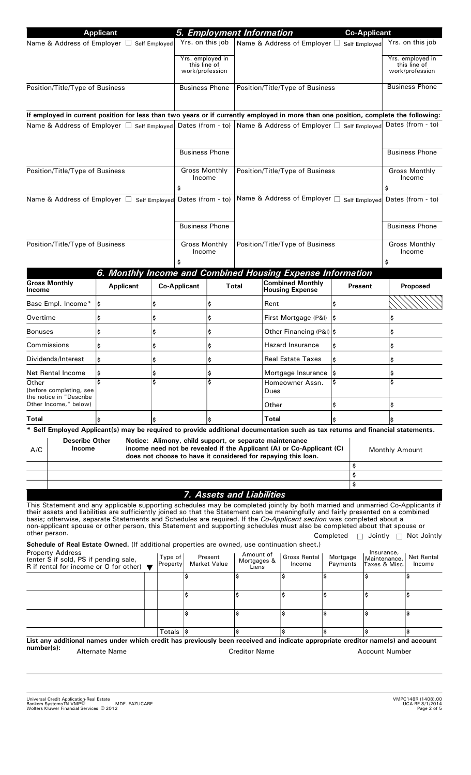|                                                                                                                                                                                                                                                                                                                                                                                                                                                                                                                                          | <b>Applicant</b>      |                     |                                                                              |                                |                                            | 5. Employment Information                                                                                                                                                                        |                      | <b>Co-Applicant</b>   |                                                     |                             |
|------------------------------------------------------------------------------------------------------------------------------------------------------------------------------------------------------------------------------------------------------------------------------------------------------------------------------------------------------------------------------------------------------------------------------------------------------------------------------------------------------------------------------------------|-----------------------|---------------------|------------------------------------------------------------------------------|--------------------------------|--------------------------------------------|--------------------------------------------------------------------------------------------------------------------------------------------------------------------------------------------------|----------------------|-----------------------|-----------------------------------------------------|-----------------------------|
| Name & Address of Employer □ Self Employed                                                                                                                                                                                                                                                                                                                                                                                                                                                                                               |                       |                     | Yrs. on this job                                                             |                                |                                            | Name & Address of Employer □ Self Employed                                                                                                                                                       |                      |                       | Yrs. on this job                                    |                             |
|                                                                                                                                                                                                                                                                                                                                                                                                                                                                                                                                          |                       |                     | Yrs. employed in<br>this line of<br>work/profession                          |                                |                                            |                                                                                                                                                                                                  |                      |                       | Yrs. employed in<br>this line of<br>work/profession |                             |
| Position/Title/Type of Business                                                                                                                                                                                                                                                                                                                                                                                                                                                                                                          |                       |                     | <b>Business Phone</b>                                                        |                                | Position/Title/Type of Business            |                                                                                                                                                                                                  |                      |                       | <b>Business Phone</b>                               |                             |
| If employed in current position for less than two years or if currently employed in more than one position, complete the following:                                                                                                                                                                                                                                                                                                                                                                                                      |                       |                     |                                                                              |                                |                                            |                                                                                                                                                                                                  |                      |                       |                                                     |                             |
| Name & Address of Employer □ Self Employed                                                                                                                                                                                                                                                                                                                                                                                                                                                                                               |                       |                     |                                                                              |                                |                                            | Dates (from - to)   Name & Address of Employer □ Self Employed                                                                                                                                   |                      |                       | Dates (from - to)                                   |                             |
|                                                                                                                                                                                                                                                                                                                                                                                                                                                                                                                                          |                       |                     |                                                                              |                                |                                            |                                                                                                                                                                                                  |                      |                       |                                                     |                             |
|                                                                                                                                                                                                                                                                                                                                                                                                                                                                                                                                          |                       |                     | <b>Business Phone</b>                                                        |                                |                                            |                                                                                                                                                                                                  |                      |                       | <b>Business Phone</b>                               |                             |
| Position/Title/Type of Business                                                                                                                                                                                                                                                                                                                                                                                                                                                                                                          |                       |                     | <b>Gross Monthly</b><br>Income<br>\$                                         |                                | Position/Title/Type of Business            |                                                                                                                                                                                                  |                      |                       | <b>Gross Monthly</b><br>Income<br>\$                |                             |
| Name & Address of Employer □ Self Employed                                                                                                                                                                                                                                                                                                                                                                                                                                                                                               |                       |                     | Dates (from - to)<br><b>Business Phone</b><br><b>Gross Monthly</b><br>Income |                                | Name & Address of Employer □ Self Employed |                                                                                                                                                                                                  |                      |                       | Dates (from - to)                                   |                             |
|                                                                                                                                                                                                                                                                                                                                                                                                                                                                                                                                          |                       |                     |                                                                              |                                |                                            |                                                                                                                                                                                                  |                      | <b>Business Phone</b> |                                                     |                             |
| Position/Title/Type of Business                                                                                                                                                                                                                                                                                                                                                                                                                                                                                                          |                       |                     |                                                                              |                                | Position/Title/Type of Business            |                                                                                                                                                                                                  |                      |                       | <b>Gross Monthly</b><br>Income                      |                             |
|                                                                                                                                                                                                                                                                                                                                                                                                                                                                                                                                          |                       |                     | \$                                                                           |                                |                                            |                                                                                                                                                                                                  |                      |                       | \$                                                  |                             |
| <b>Gross Monthly</b>                                                                                                                                                                                                                                                                                                                                                                                                                                                                                                                     |                       |                     |                                                                              |                                |                                            | 6. Monthly Income and Combined Housing Expense Information<br><b>Combined Monthly</b>                                                                                                            |                      |                       |                                                     |                             |
| Income                                                                                                                                                                                                                                                                                                                                                                                                                                                                                                                                   | <b>Applicant</b>      |                     | <b>Co-Applicant</b>                                                          |                                | Total                                      | <b>Housing Expense</b>                                                                                                                                                                           |                      | Present               | Proposed                                            |                             |
| Base Empl. Income*                                                                                                                                                                                                                                                                                                                                                                                                                                                                                                                       | ∣\$                   | \$                  |                                                                              | \$                             |                                            | Rent                                                                                                                                                                                             | ¦\$                  |                       |                                                     |                             |
| Overtime                                                                                                                                                                                                                                                                                                                                                                                                                                                                                                                                 | \$                    | \$                  |                                                                              | \$                             |                                            | First Mortgage (P&I)                                                                                                                                                                             | l\$                  |                       | \$                                                  |                             |
| <b>Bonuses</b>                                                                                                                                                                                                                                                                                                                                                                                                                                                                                                                           | \$                    | \$                  |                                                                              | \$                             |                                            | Other Financing (P&I)  \$                                                                                                                                                                        |                      |                       | \$                                                  |                             |
| Commissions                                                                                                                                                                                                                                                                                                                                                                                                                                                                                                                              | \$                    | \$                  |                                                                              | \$                             |                                            | <b>Hazard Insurance</b>                                                                                                                                                                          | I\$                  |                       | \$                                                  |                             |
| Dividends/Interest                                                                                                                                                                                                                                                                                                                                                                                                                                                                                                                       | \$                    | \$                  |                                                                              | \$                             |                                            | <b>Real Estate Taxes</b>                                                                                                                                                                         | ¦\$                  |                       |                                                     |                             |
| Net Rental Income<br>Other                                                                                                                                                                                                                                                                                                                                                                                                                                                                                                               | Ş<br>Ş                |                     | Ş<br>Ś                                                                       |                                |                                            | Mortgage Insurance<br>Homeowner Assn.                                                                                                                                                            |                      |                       | \$<br>\$                                            |                             |
| (before completing, see<br>the notice in "Describe<br>Other Income," below)                                                                                                                                                                                                                                                                                                                                                                                                                                                              |                       |                     |                                                                              |                                |                                            | <b>Dues</b><br>Other                                                                                                                                                                             | \$                   |                       | \$                                                  |                             |
| Total                                                                                                                                                                                                                                                                                                                                                                                                                                                                                                                                    |                       |                     |                                                                              |                                |                                            | Total                                                                                                                                                                                            |                      |                       |                                                     |                             |
| * Self Employed Applicant(s) may be required to provide additional documentation such as tax returns and financial statements.                                                                                                                                                                                                                                                                                                                                                                                                           |                       |                     |                                                                              |                                |                                            |                                                                                                                                                                                                  |                      |                       |                                                     |                             |
| <b>Describe Other</b><br><b>Income</b><br>A/C                                                                                                                                                                                                                                                                                                                                                                                                                                                                                            |                       |                     |                                                                              |                                |                                            | Notice: Alimony, child support, or separate maintenance<br>income need not be revealed if the Applicant (A) or Co-Applicant (C)<br>does not choose to have it considered for repaying this loan. |                      |                       | Monthly Amount                                      |                             |
|                                                                                                                                                                                                                                                                                                                                                                                                                                                                                                                                          |                       |                     |                                                                              |                                |                                            |                                                                                                                                                                                                  |                      | \$<br>\$              |                                                     |                             |
|                                                                                                                                                                                                                                                                                                                                                                                                                                                                                                                                          |                       |                     |                                                                              |                                |                                            |                                                                                                                                                                                                  |                      | \$                    |                                                     |                             |
|                                                                                                                                                                                                                                                                                                                                                                                                                                                                                                                                          |                       |                     |                                                                              | 7. Assets and Liabilities      |                                            |                                                                                                                                                                                                  |                      |                       |                                                     |                             |
| This Statement and any applicable supporting schedules may be completed jointly by both married and unmarried Co-Applicants if<br>their assets and liabilities are sufficiently joined so that the Statement can be meaningfully and fairly presented on a combined<br>basis; otherwise, separate Statements and Schedules are required. If the Co-Applicant section was completed about a<br>non-applicant spouse or other person, this Statement and supporting schedules must also be completed about that spouse or<br>other person. |                       |                     |                                                                              |                                |                                            |                                                                                                                                                                                                  | Completed            |                       | $\Box$ Jointly $\Box$ Not Jointly                   |                             |
| Schedule of Real Estate Owned. (If additional properties are owned, use continuation sheet.)                                                                                                                                                                                                                                                                                                                                                                                                                                             |                       |                     |                                                                              |                                |                                            |                                                                                                                                                                                                  |                      |                       |                                                     |                             |
| <b>Property Address</b><br>(enter S if sold, PS if pending sale,<br>R if rental for income or O for other) $\blacktriangledown$                                                                                                                                                                                                                                                                                                                                                                                                          |                       | Type of<br>Property |                                                                              | Present<br><b>Market Value</b> | Amount of<br>Mortgages &<br>Liens          | Gross Rental<br>Income                                                                                                                                                                           | Mortgage<br>Payments |                       | Insurance,<br>Maintenance,<br>Taxes & Misc.         | <b>Net Rental</b><br>Income |
|                                                                                                                                                                                                                                                                                                                                                                                                                                                                                                                                          |                       |                     | Ś                                                                            |                                | \$                                         | \$                                                                                                                                                                                               | \$                   | Ś                     | \$                                                  |                             |
|                                                                                                                                                                                                                                                                                                                                                                                                                                                                                                                                          |                       |                     | \$                                                                           |                                | \$                                         | \$                                                                                                                                                                                               | \$                   | Ś                     | \$                                                  |                             |
|                                                                                                                                                                                                                                                                                                                                                                                                                                                                                                                                          |                       |                     | \$                                                                           |                                | \$                                         | \$                                                                                                                                                                                               | \$                   | Ś                     | \$                                                  |                             |
|                                                                                                                                                                                                                                                                                                                                                                                                                                                                                                                                          |                       | Totals              |                                                                              |                                |                                            | \$                                                                                                                                                                                               | \$                   |                       | \$                                                  |                             |
| List any additional names under which credit has previously been received and indicate appropriate creditor name(s) and account<br>number(s):                                                                                                                                                                                                                                                                                                                                                                                            | <b>Alternate Name</b> |                     |                                                                              |                                | <b>Creditor Name</b>                       |                                                                                                                                                                                                  |                      |                       | <b>Account Number</b>                               |                             |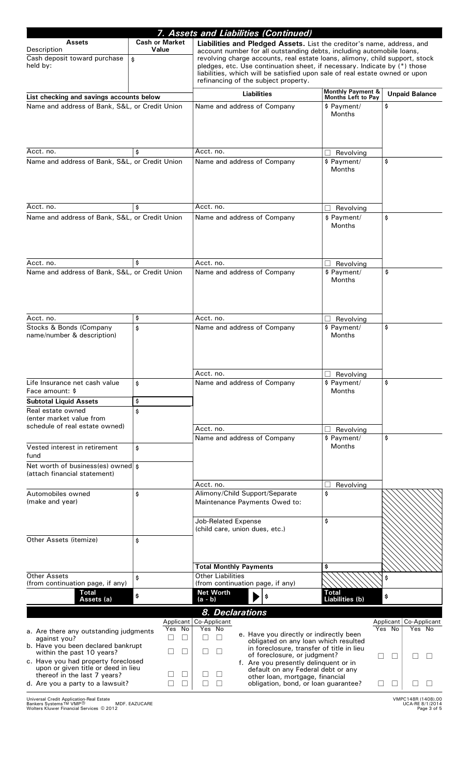| 7. Assets and Liabilities (Continued)                            |                                |                                                                                                                                                          |                                 |                                               |  |  |  |
|------------------------------------------------------------------|--------------------------------|----------------------------------------------------------------------------------------------------------------------------------------------------------|---------------------------------|-----------------------------------------------|--|--|--|
| <b>Assets</b>                                                    | <b>Cash or Market</b><br>Value | Liabilities and Pledged Assets. List the creditor's name, address, and                                                                                   |                                 |                                               |  |  |  |
| Description<br>Cash deposit toward purchase                      | \$                             | account number for all outstanding debts, including automobile loans,                                                                                    |                                 |                                               |  |  |  |
| held by:                                                         |                                | revolving charge accounts, real estate loans, alimony, child support, stock<br>pledges, etc. Use continuation sheet, if necessary. Indicate by (*) those |                                 |                                               |  |  |  |
|                                                                  |                                | liabilities, which will be satisfied upon sale of real estate owned or upon<br>refinancing of the subject property.                                      |                                 |                                               |  |  |  |
|                                                                  |                                |                                                                                                                                                          | <b>Monthly Payment &amp;</b>    |                                               |  |  |  |
| List checking and savings accounts below                         |                                | <b>Liabilities</b>                                                                                                                                       | <b>Months Left to Pay</b>       | <b>Unpaid Balance</b>                         |  |  |  |
| Name and address of Bank, S&L, or Credit Union                   |                                | Name and address of Company                                                                                                                              | \$ Payment/                     | \$                                            |  |  |  |
|                                                                  |                                |                                                                                                                                                          | <b>Months</b>                   |                                               |  |  |  |
|                                                                  |                                |                                                                                                                                                          |                                 |                                               |  |  |  |
|                                                                  |                                |                                                                                                                                                          |                                 |                                               |  |  |  |
| Acct. no.<br>\$                                                  |                                | Acct. no.                                                                                                                                                | Revolving                       |                                               |  |  |  |
| Name and address of Bank, S&L, or Credit Union                   |                                | Name and address of Company                                                                                                                              | \$ Payment/                     | \$                                            |  |  |  |
|                                                                  |                                |                                                                                                                                                          | <b>Months</b>                   |                                               |  |  |  |
|                                                                  |                                |                                                                                                                                                          |                                 |                                               |  |  |  |
|                                                                  |                                |                                                                                                                                                          |                                 |                                               |  |  |  |
| Acct. no.                                                        | \$                             | Acct. no.                                                                                                                                                | Revolving                       |                                               |  |  |  |
| Name and address of Bank, S&L, or Credit Union                   |                                | Name and address of Company                                                                                                                              | \$ Payment/                     | \$                                            |  |  |  |
|                                                                  |                                |                                                                                                                                                          | <b>Months</b>                   |                                               |  |  |  |
|                                                                  |                                |                                                                                                                                                          |                                 |                                               |  |  |  |
|                                                                  |                                |                                                                                                                                                          |                                 |                                               |  |  |  |
| Acct. no.                                                        | \$                             | Acct. no.                                                                                                                                                | Revolving                       |                                               |  |  |  |
| Name and address of Bank, S&L, or Credit Union                   |                                | Name and address of Company                                                                                                                              | \$ Payment/                     | \$                                            |  |  |  |
|                                                                  |                                |                                                                                                                                                          | <b>Months</b>                   |                                               |  |  |  |
|                                                                  |                                |                                                                                                                                                          |                                 |                                               |  |  |  |
|                                                                  |                                |                                                                                                                                                          |                                 |                                               |  |  |  |
|                                                                  | \$                             |                                                                                                                                                          |                                 |                                               |  |  |  |
| Acct. no.<br>Stocks & Bonds (Company                             | \$                             | Acct. no.<br>Name and address of Company                                                                                                                 | Revolving<br>\$ Payment/        | \$                                            |  |  |  |
| name/number & description)                                       |                                |                                                                                                                                                          | <b>Months</b>                   |                                               |  |  |  |
|                                                                  |                                |                                                                                                                                                          |                                 |                                               |  |  |  |
|                                                                  |                                |                                                                                                                                                          |                                 |                                               |  |  |  |
|                                                                  |                                |                                                                                                                                                          |                                 |                                               |  |  |  |
| Life Insurance net cash value                                    |                                | Acct. no.<br>Name and address of Company                                                                                                                 | $\Box$ Revolving<br>\$ Payment/ | \$                                            |  |  |  |
| Face amount: \$                                                  | \$                             |                                                                                                                                                          | <b>Months</b>                   |                                               |  |  |  |
| <b>Subtotal Liquid Assets</b>                                    | \$                             |                                                                                                                                                          |                                 |                                               |  |  |  |
| Real estate owned                                                | \$                             |                                                                                                                                                          |                                 |                                               |  |  |  |
| (enter market value from<br>schedule of real estate owned)       |                                |                                                                                                                                                          |                                 |                                               |  |  |  |
|                                                                  |                                | Acct. no.                                                                                                                                                | Revolving                       |                                               |  |  |  |
| Vested interest in retirement                                    |                                | Name and address of Company                                                                                                                              | \$ Payment/<br><b>Months</b>    | \$                                            |  |  |  |
| fund                                                             | \$                             |                                                                                                                                                          |                                 |                                               |  |  |  |
| Net worth of business(es) owned \$                               |                                |                                                                                                                                                          |                                 |                                               |  |  |  |
| (attach financial statement)                                     |                                |                                                                                                                                                          |                                 |                                               |  |  |  |
|                                                                  |                                | Acct. no.                                                                                                                                                | Revolving                       |                                               |  |  |  |
| Automobiles owned<br>\$                                          |                                | Alimony/Child Support/Separate                                                                                                                           | \$                              |                                               |  |  |  |
| (make and year)                                                  |                                | Maintenance Payments Owed to:                                                                                                                            |                                 |                                               |  |  |  |
|                                                                  |                                | <b>Job-Related Expense</b>                                                                                                                               | \$                              |                                               |  |  |  |
|                                                                  |                                | (child care, union dues, etc.)                                                                                                                           |                                 |                                               |  |  |  |
| Other Assets (itemize)                                           | \$                             |                                                                                                                                                          |                                 |                                               |  |  |  |
|                                                                  |                                |                                                                                                                                                          |                                 |                                               |  |  |  |
|                                                                  |                                |                                                                                                                                                          |                                 |                                               |  |  |  |
| Other Assets                                                     |                                | <b>Total Monthly Payments</b><br><b>Other Liabilities</b>                                                                                                | \$                              |                                               |  |  |  |
| (from continuation page, if any)                                 | \$                             | (from continuation page, if any)                                                                                                                         |                                 | \$                                            |  |  |  |
| <b>Total</b>                                                     | \$                             | <b>Net Worth</b><br>\$                                                                                                                                   | <b>Total</b>                    | \$                                            |  |  |  |
| Assets (a)                                                       |                                | $(a - b)$                                                                                                                                                | Liabilities (b)                 |                                               |  |  |  |
|                                                                  |                                | 8. Declarations                                                                                                                                          |                                 |                                               |  |  |  |
|                                                                  | Applicant<br>Yes<br>No         | Co-Applicant<br>Yes No                                                                                                                                   |                                 | Applicant<br>Co-Applicant<br>Yes No<br>Yes No |  |  |  |
| a. Are there any outstanding judgments<br>against you?           | $\Box$                         | e. Have you directly or indirectly been<br>$\Box$<br>$\Box$<br>obligated on any loan which resulted                                                      |                                 |                                               |  |  |  |
| b. Have you been declared bankrupt<br>within the past 10 years?  | $\Box$                         | in foreclosure, transfer of title in lieu                                                                                                                |                                 |                                               |  |  |  |
| c. Have you had property foreclosed                              |                                | of foreclosure, or judgment?                                                                                                                             | $\mathsf{L}$                    |                                               |  |  |  |
| upon or given title or deed in lieu                              |                                | f. Are you presently delinquent or in<br>default on any Federal debt or any                                                                              |                                 |                                               |  |  |  |
| thereof in the last 7 years?<br>d. Are you a party to a lawsuit? | $\perp$<br>$\Box$              | other loan, mortgage, financial<br>obligation, bond, or loan guarantee?<br>П                                                                             | ⊔                               | $\mathsf{L}$                                  |  |  |  |
|                                                                  |                                |                                                                                                                                                          |                                 |                                               |  |  |  |

Universal Credit Application-Real Estate Bankers Systems\* , VMP UCA-RE 8/1/2014 MDF. EAZUCARE

- Wolters Kluwer Financial Services 2012

Page 3 of 5 VMPC148R (1408).00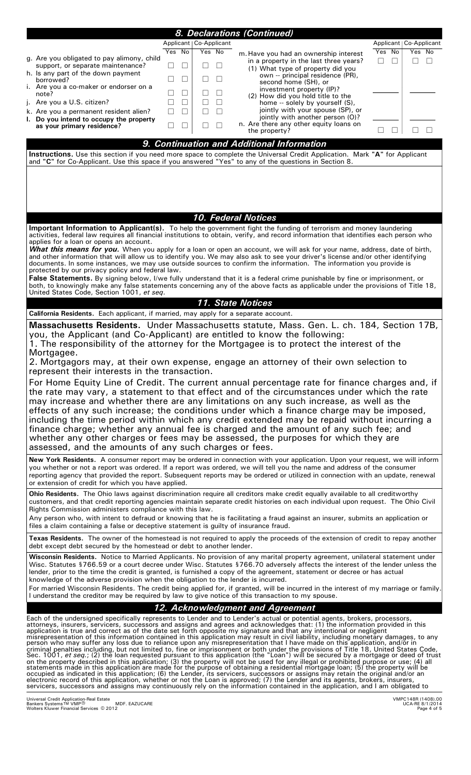|                                                                                                                                                                                        |                                       | 8. Declarations (Continued)                                                                                                                                                                                                                                                                                                                                            |                                          |  |  |  |  |
|----------------------------------------------------------------------------------------------------------------------------------------------------------------------------------------|---------------------------------------|------------------------------------------------------------------------------------------------------------------------------------------------------------------------------------------------------------------------------------------------------------------------------------------------------------------------------------------------------------------------|------------------------------------------|--|--|--|--|
|                                                                                                                                                                                        | Applicant   Co-Applicant              |                                                                                                                                                                                                                                                                                                                                                                        | Applicant   Co-Applicant                 |  |  |  |  |
| g. Are you obligated to pay alimony, child                                                                                                                                             | Yes No<br>Yes No                      | m. Have you had an ownership interest                                                                                                                                                                                                                                                                                                                                  | Yes No<br>Yes No                         |  |  |  |  |
| support, or separate maintenance?                                                                                                                                                      | П<br>п<br>П<br>$\Box$                 | in a property in the last three years?<br>(1) What type of property did you                                                                                                                                                                                                                                                                                            | $\perp$<br>$\perp$<br>$\perp$<br>$\perp$ |  |  |  |  |
| h. Is any part of the down payment<br>borrowed?                                                                                                                                        | $\Box$<br>$\Box$<br>$\vert \ \ \vert$ | own -- principal residence (PR),<br>second home (SH), or                                                                                                                                                                                                                                                                                                               |                                          |  |  |  |  |
| i. Are you a co-maker or endorser on a<br>note?                                                                                                                                        | П<br>П                                | investment property (IP)?                                                                                                                                                                                                                                                                                                                                              |                                          |  |  |  |  |
| j. Are you a U.S. citizen?                                                                                                                                                             | П<br>П<br>$\perp$                     | (2) How did you hold title to the<br>home -- solely by yourself (S),                                                                                                                                                                                                                                                                                                   |                                          |  |  |  |  |
| k. Are you a permanent resident alien?                                                                                                                                                 | П<br>П<br>П<br>П                      | jointly with your spouse (SP), or                                                                                                                                                                                                                                                                                                                                      |                                          |  |  |  |  |
| I. Do you intend to occupy the property<br>as your primary residence?                                                                                                                  | П<br>$\vert \ \ \vert$                | jointly with another person (O)?<br>n. Are there any other equity loans on                                                                                                                                                                                                                                                                                             |                                          |  |  |  |  |
|                                                                                                                                                                                        |                                       | the property?                                                                                                                                                                                                                                                                                                                                                          | $\Box$                                   |  |  |  |  |
|                                                                                                                                                                                        |                                       | 9. Continuation and Additional Information                                                                                                                                                                                                                                                                                                                             |                                          |  |  |  |  |
| and "C" for Co-Applicant. Use this space if you answered "Yes" to any of the questions in Section 8.                                                                                   |                                       | Instructions. Use this section if you need more space to complete the Universal Credit Application. Mark "A" for Applicant                                                                                                                                                                                                                                             |                                          |  |  |  |  |
|                                                                                                                                                                                        |                                       | <b>10. Federal Notices</b>                                                                                                                                                                                                                                                                                                                                             |                                          |  |  |  |  |
|                                                                                                                                                                                        |                                       | Important Information to Applicant(s). To help the government fight the funding of terrorism and money laundering                                                                                                                                                                                                                                                      |                                          |  |  |  |  |
| applies for a loan or opens an account.                                                                                                                                                |                                       | activities, federal law requires all financial institutions to obtain, verify, and record information that identifies each person who                                                                                                                                                                                                                                  |                                          |  |  |  |  |
|                                                                                                                                                                                        |                                       | What this means for you. When you apply for a loan or open an account, we will ask for your name, address, date of birth,                                                                                                                                                                                                                                              |                                          |  |  |  |  |
|                                                                                                                                                                                        |                                       | and other information that will allow us to identify you. We may also ask to see your driver's license and/or other identifying<br>documents. In some instances, we may use outside sources to confirm the information. The information you provide is                                                                                                                 |                                          |  |  |  |  |
| protected by our privacy policy and federal law.                                                                                                                                       |                                       | False Statements. By signing below, I/we fully understand that it is a federal crime punishable by fine or imprisonment, or                                                                                                                                                                                                                                            |                                          |  |  |  |  |
|                                                                                                                                                                                        |                                       | both, to knowingly make any false statements concerning any of the above facts as applicable under the provisions of Title 18,                                                                                                                                                                                                                                         |                                          |  |  |  |  |
| United States Code, Section 1001, et seq.                                                                                                                                              |                                       | 11. State Notices                                                                                                                                                                                                                                                                                                                                                      |                                          |  |  |  |  |
| California Residents. Each applicant, if married, may apply for a separate account.                                                                                                    |                                       |                                                                                                                                                                                                                                                                                                                                                                        |                                          |  |  |  |  |
|                                                                                                                                                                                        |                                       | Massachusetts Residents. Under Massachusetts statute, Mass. Gen. L. ch. 184, Section 17B,                                                                                                                                                                                                                                                                              |                                          |  |  |  |  |
| you, the Applicant (and Co-Applicant) are entitled to know the following:                                                                                                              |                                       |                                                                                                                                                                                                                                                                                                                                                                        |                                          |  |  |  |  |
| Mortgagee.                                                                                                                                                                             |                                       | 1. The responsibility of the attorney for the Mortgagee is to protect the interest of the                                                                                                                                                                                                                                                                              |                                          |  |  |  |  |
|                                                                                                                                                                                        |                                       | 2. Mortgagors may, at their own expense, engage an attorney of their own selection to                                                                                                                                                                                                                                                                                  |                                          |  |  |  |  |
| represent their interests in the transaction.                                                                                                                                          |                                       |                                                                                                                                                                                                                                                                                                                                                                        |                                          |  |  |  |  |
| For Home Equity Line of Credit. The current annual percentage rate for finance charges and, if                                                                                         |                                       |                                                                                                                                                                                                                                                                                                                                                                        |                                          |  |  |  |  |
| the rate may vary, a statement to that effect and of the circumstances under which the rate<br>may increase and whether there are any limitations on any such increase, as well as the |                                       |                                                                                                                                                                                                                                                                                                                                                                        |                                          |  |  |  |  |
|                                                                                                                                                                                        |                                       | effects of any such increase; the conditions under which a finance charge may be imposed,                                                                                                                                                                                                                                                                              |                                          |  |  |  |  |
|                                                                                                                                                                                        |                                       | including the time period within which any credit extended may be repaid without incurring a                                                                                                                                                                                                                                                                           |                                          |  |  |  |  |
|                                                                                                                                                                                        |                                       | finance charge; whether any annual fee is charged and the amount of any such fee; and<br>whether any other charges or fees may be assessed, the purposes for which they are                                                                                                                                                                                            |                                          |  |  |  |  |
| assessed, and the amounts of any such charges or fees.                                                                                                                                 |                                       |                                                                                                                                                                                                                                                                                                                                                                        |                                          |  |  |  |  |
|                                                                                                                                                                                        |                                       | New York Residents. A consumer report may be ordered in connection with your application. Upon your request, we will inform                                                                                                                                                                                                                                            |                                          |  |  |  |  |
|                                                                                                                                                                                        |                                       | you whether or not a report was ordered. If a report was ordered, we will tell you the name and address of the consumer<br>reporting agency that provided the report. Subsequent reports may be ordered or utilized in connection with an update, renewal                                                                                                              |                                          |  |  |  |  |
| or extension of credit for which you have applied.                                                                                                                                     |                                       |                                                                                                                                                                                                                                                                                                                                                                        |                                          |  |  |  |  |
|                                                                                                                                                                                        |                                       | Ohio Residents. The Ohio laws against discrimination require all creditors make credit equally available to all creditworthy                                                                                                                                                                                                                                           |                                          |  |  |  |  |
| Rights Commission administers compliance with this law.                                                                                                                                |                                       | customers, and that credit reporting agencies maintain separate credit histories on each individual upon request. The Ohio Civil                                                                                                                                                                                                                                       |                                          |  |  |  |  |
|                                                                                                                                                                                        |                                       | Any person who, with intent to defraud or knowing that he is facilitating a fraud against an insurer, submits an application or                                                                                                                                                                                                                                        |                                          |  |  |  |  |
| files a claim containing a false or deceptive statement is guilty of insurance fraud.                                                                                                  |                                       |                                                                                                                                                                                                                                                                                                                                                                        |                                          |  |  |  |  |
| debt except debt secured by the homestead or debt to another lender.                                                                                                                   |                                       | Texas Residents. The owner of the homestead is not required to apply the proceeds of the extension of credit to repay another                                                                                                                                                                                                                                          |                                          |  |  |  |  |
|                                                                                                                                                                                        |                                       | Wisconsin Residents. Notice to Married Applicants. No provision of any marital property agreement, unilateral statement under                                                                                                                                                                                                                                          |                                          |  |  |  |  |
|                                                                                                                                                                                        |                                       | Wisc. Statutes §766.59 or a court decree under Wisc. Statutes §766.70 adversely affects the interest of the lender unless the<br>lender, prior to the time the credit is granted, is furnished a copy of the agreement, statement or decree or has actual                                                                                                              |                                          |  |  |  |  |
| knowledge of the adverse provision when the obligation to the lender is incurred.                                                                                                      |                                       |                                                                                                                                                                                                                                                                                                                                                                        |                                          |  |  |  |  |
| I understand the creditor may be required by law to give notice of this transaction to my spouse.                                                                                      |                                       | For married Wisconsin Residents. The credit being applied for, if granted, will be incurred in the interest of my marriage or family.                                                                                                                                                                                                                                  |                                          |  |  |  |  |
|                                                                                                                                                                                        |                                       | 12. Acknowledgment and Agreement                                                                                                                                                                                                                                                                                                                                       |                                          |  |  |  |  |
|                                                                                                                                                                                        |                                       | Each of the undersigned specifically represents to Lender and to Lender's actual or potential agents, brokers, processors,                                                                                                                                                                                                                                             |                                          |  |  |  |  |
|                                                                                                                                                                                        |                                       | attorneys, insurers, servicers, successors and assigns and agrees and acknowledges that: (1) the information provided in this<br>application is true and correct as of the date set forth opposite my signature and that any intentional or negligent                                                                                                                  |                                          |  |  |  |  |
|                                                                                                                                                                                        |                                       | misrepresentation of this information contained in this application may result in civil liability, including monetary damages, to any person who may suffer any loss due to reliance upon any misrepresentation that I have ma                                                                                                                                         |                                          |  |  |  |  |
|                                                                                                                                                                                        |                                       | criminal penalties including, but not limited to, fine or imprisonment or both under the provisions of Title 18, United States Code,<br>Sec. 1001, <i>et seq.</i> ; (2) the loan requested pursuant to this application (the "Loan") wi                                                                                                                                |                                          |  |  |  |  |
|                                                                                                                                                                                        |                                       | on the property described in this application; (3) the property will not be used for any illegal or prohibited purpose or use; (4) all<br>statements made in this application are made for the purpose of obtaining a residential mortgage loan; (5) the property will be                                                                                              |                                          |  |  |  |  |
|                                                                                                                                                                                        |                                       | occupied as indicated in this application; (6) the Lender, its servicers, successors or assigns may retain the original and/or an<br>electronic record of this application, whether or not the Loan is approved; (7) the Lender and its agents, brokers, insurers,<br>servicers, successors and assigns may continuously rely on the information contained in the appl |                                          |  |  |  |  |
| <b>Liniversal Credit Application Real Fetate</b>                                                                                                                                       |                                       |                                                                                                                                                                                                                                                                                                                                                                        | VMPC148B (1408) 00                       |  |  |  |  |

- Wolters Kluwer Financial Services 2012 Universal Credit Application-Real Estate<br>Bankers Systems ™ VMP®

UCA-RE 8/1/2014 Page 4 of 5 VMPC148R (1408).00